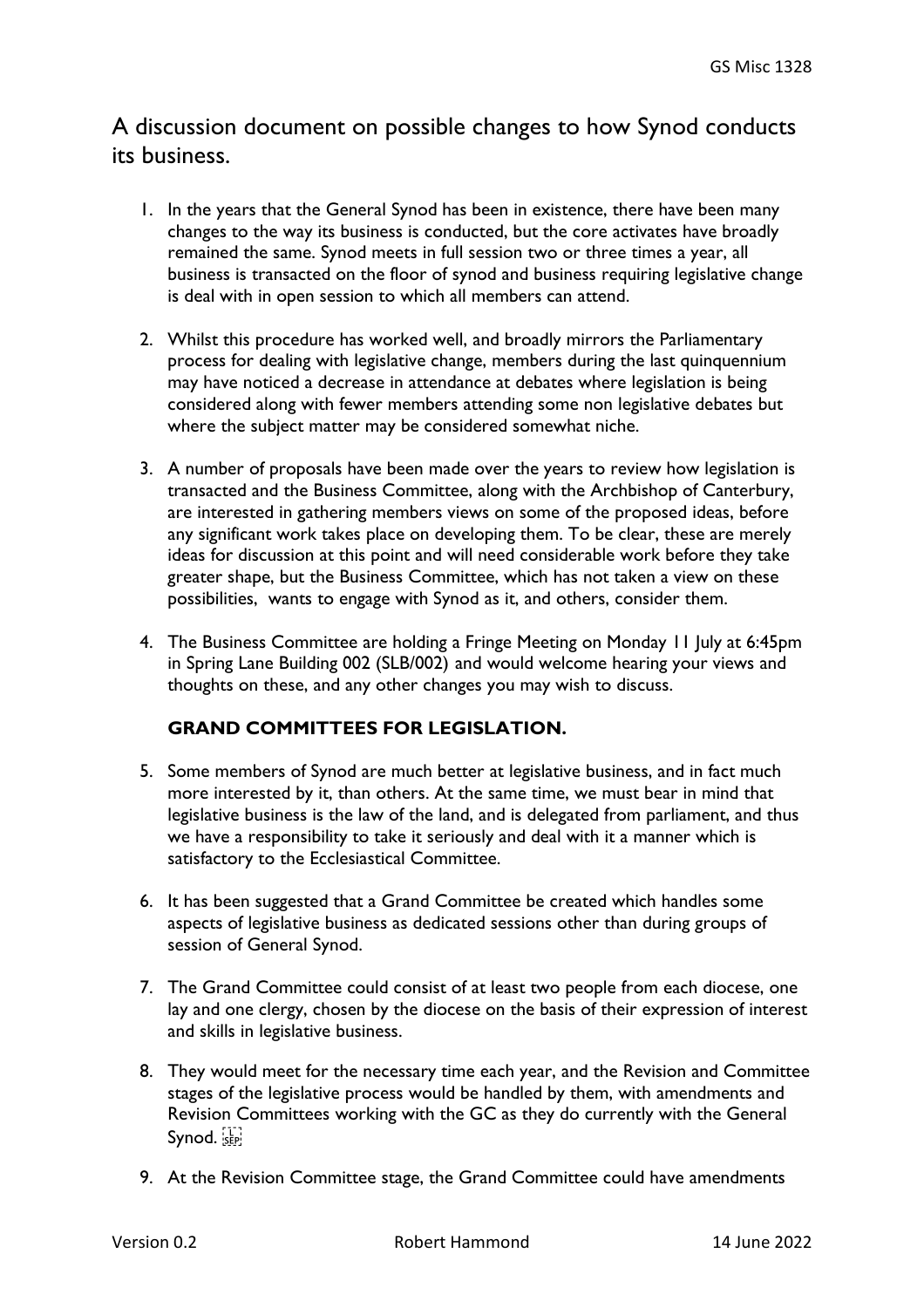## A discussion document on possible changes to how Synod conducts its business.

- 1. In the years that the General Synod has been in existence, there have been many changes to the way its business is conducted, but the core activates have broadly remained the same. Synod meets in full session two or three times a year, all business is transacted on the floor of synod and business requiring legislative change is deal with in open session to which all members can attend.
- 2. Whilst this procedure has worked well, and broadly mirrors the Parliamentary process for dealing with legislative change, members during the last quinquennium may have noticed a decrease in attendance at debates where legislation is being considered along with fewer members attending some non legislative debates but where the subject matter may be considered somewhat niche.
- 3. A number of proposals have been made over the years to review how legislation is transacted and the Business Committee, along with the Archbishop of Canterbury, are interested in gathering members views on some of the proposed ideas, before any significant work takes place on developing them. To be clear, these are merely ideas for discussion at this point and will need considerable work before they take greater shape, but the Business Committee, which has not taken a view on these possibilities, wants to engage with Synod as it, and others, consider them.
- 4. The Business Committee are holding a Fringe Meeting on Monday 11 July at 6:45pm in Spring Lane Building 002 (SLB/002) and would welcome hearing your views and thoughts on these, and any other changes you may wish to discuss.

## **GRAND COMMITTEES FOR LEGISLATION.**

- 5. Some members of Synod are much better at legislative business, and in fact much more interested by it, than others. At the same time, we must bear in mind that legislative business is the law of the land, and is delegated from parliament, and thus we have a responsibility to take it seriously and deal with it a manner which is satisfactory to the Ecclesiastical Committee.
- 6. It has been suggested that a Grand Committee be created which handles some aspects of legislative business as dedicated sessions other than during groups of session of General Synod.
- 7. The Grand Committee could consist of at least two people from each diocese, one lay and one clergy, chosen by the diocese on the basis of their expression of interest and skills in legislative business.
- 8. They would meet for the necessary time each year, and the Revision and Committee stages of the legislative process would be handled by them, with amendments and Revision Committees working with the GC as they do currently with the General Synod. SEP!
- 9. At the Revision Committee stage, the Grand Committee could have amendments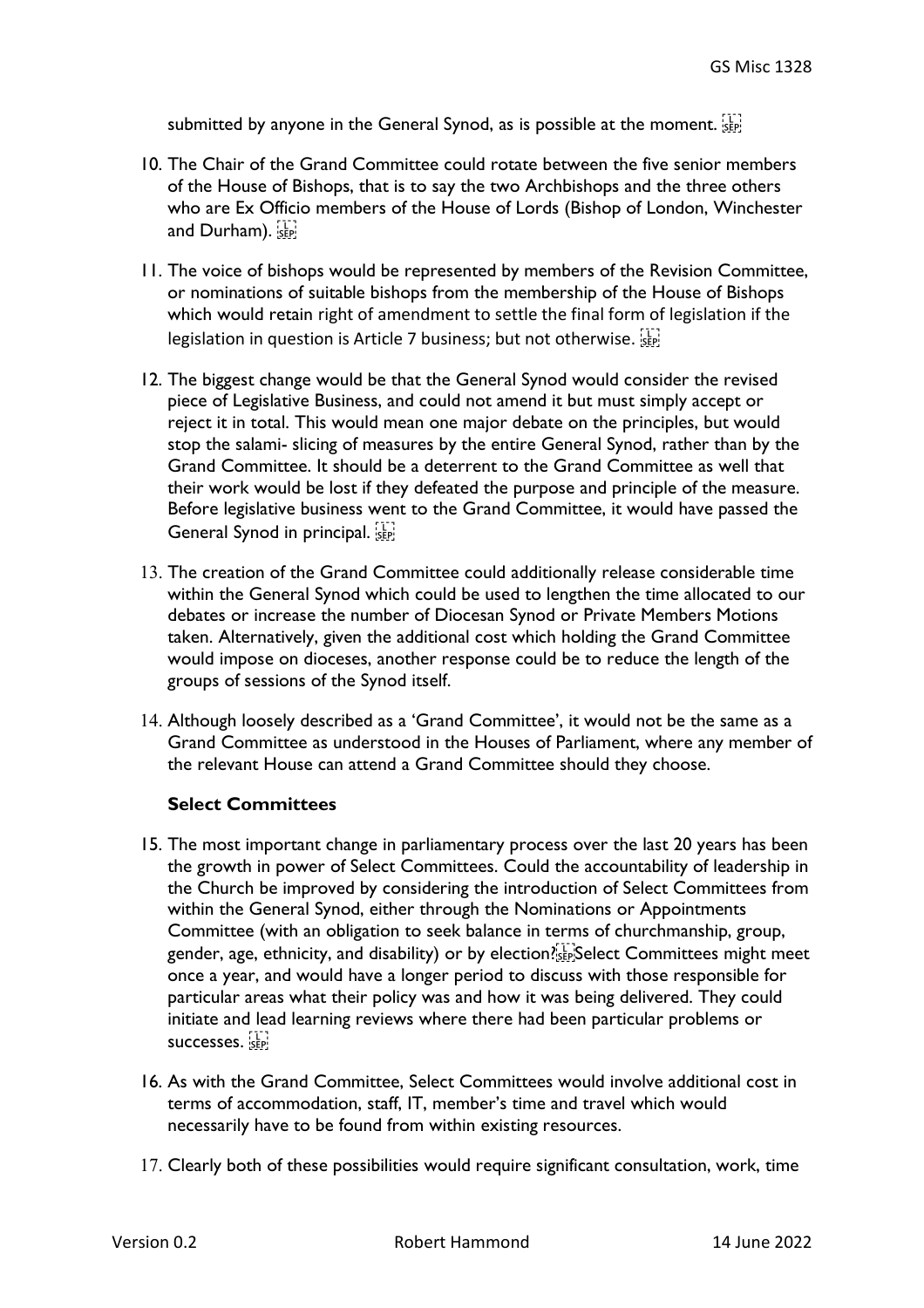submitted by anyone in the General Synod, as is possible at the moment.

- 10. The Chair of the Grand Committee could rotate between the five senior members of the House of Bishops, that is to say the two Archbishops and the three others who are Ex Officio members of the House of Lords (Bishop of London, Winchester and Durham).
- 11. The voice of bishops would be represented by members of the Revision Committee, or nominations of suitable bishops from the membership of the House of Bishops which would retain right of amendment to settle the final form of legislation if the legislation in question is Article 7 business; but not otherwise.
- 12. The biggest change would be that the General Synod would consider the revised piece of Legislative Business, and could not amend it but must simply accept or reject it in total. This would mean one major debate on the principles, but would stop the salami- slicing of measures by the entire General Synod, rather than by the Grand Committee. It should be a deterrent to the Grand Committee as well that their work would be lost if they defeated the purpose and principle of the measure. Before legislative business went to the Grand Committee, it would have passed the General Synod in principal.
- 13. The creation of the Grand Committee could additionally release considerable time within the General Synod which could be used to lengthen the time allocated to our debates or increase the number of Diocesan Synod or Private Members Motions taken. Alternatively, given the additional cost which holding the Grand Committee would impose on dioceses, another response could be to reduce the length of the groups of sessions of the Synod itself.
- 14. Although loosely described as a 'Grand Committee', it would not be the same as a Grand Committee as understood in the Houses of Parliament, where any member of the relevant House can attend a Grand Committee should they choose.

## **Select Committees**

- 15. The most important change in parliamentary process over the last 20 years has been the growth in power of Select Committees. Could the accountability of leadership in the Church be improved by considering the introduction of Select Committees from within the General Synod, either through the Nominations or Appointments Committee (with an obligation to seek balance in terms of churchmanship, group, gender, age, ethnicity, and disability) or by election? Select Committees might meet once a year, and would have a longer period to discuss with those responsible for particular areas what their policy was and how it was being delivered. They could initiate and lead learning reviews where there had been particular problems or successes.
- 16. As with the Grand Committee, Select Committees would involve additional cost in terms of accommodation, staff, IT, member's time and travel which would necessarily have to be found from within existing resources.
- 17. Clearly both of these possibilities would require significant consultation, work, time